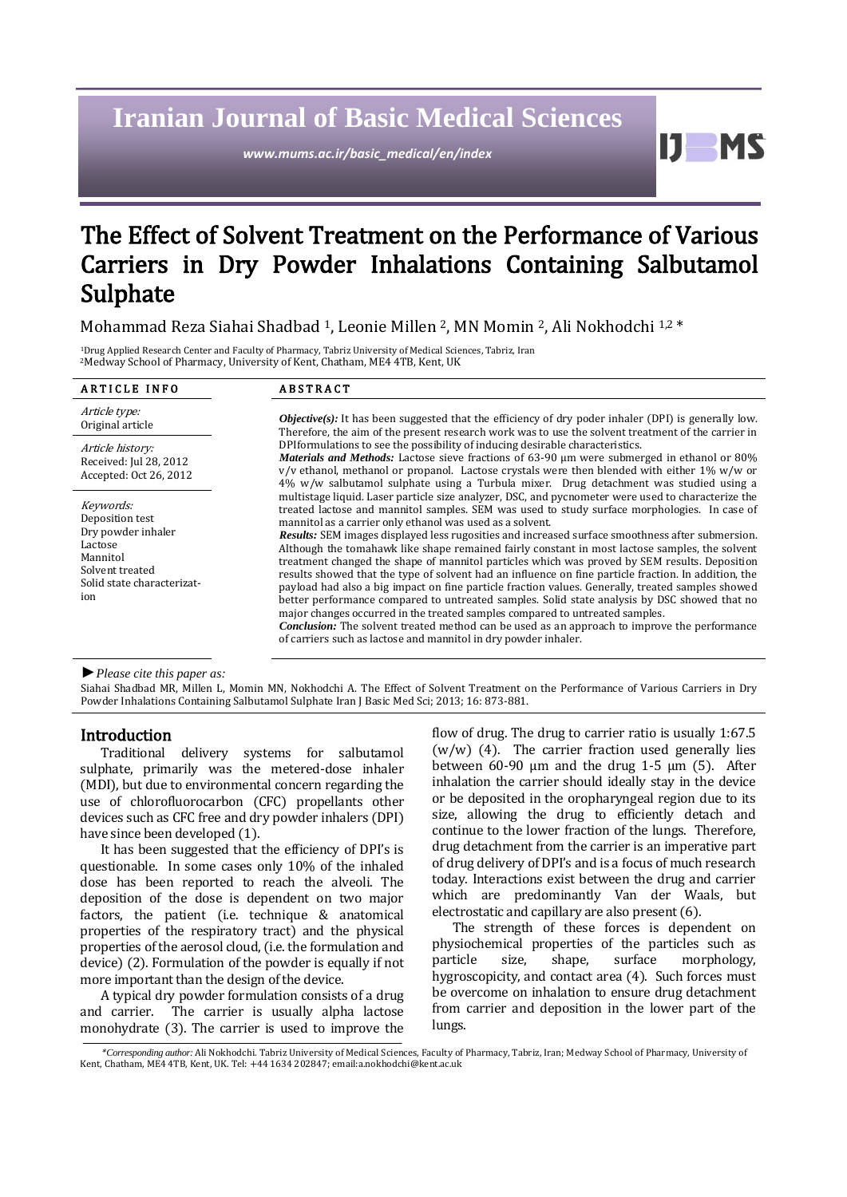# **Iranian Journal of Basic Medical Sciences**

*www.mums.ac.ir/basic\_medical/en/index*

Ш **MS** 

# The Effect of Solvent Treatment on the Performance of Various Carriers in Dry Powder Inhalations Containing Salbutamol Sulphate

Mohammad Reza Siahai Shadbad <sup>1</sup>, Leonie Millen <sup>2</sup>, MN Momin <sup>2</sup>, Ali Nokhodchi 1,2 \*

<sup>1</sup>Drug Applied Research Center and Faculty of Pharmacy, Tabriz University of Medical Sciences, Tabriz, Iran <sup>2</sup>Medway School of Pharmacy, University of Kent, Chatham, ME4 4TB, Kent, UK

| <b>ARTICLE INFO</b>                                                                                                               | <b>ABSTRACT</b>                                                                                                                                                                                                                                                                                                                                                                                                                                                                                                                                                                                                                                                                                                                                                                                                                                                                                                                                                                                                                                                                                                                                      |
|-----------------------------------------------------------------------------------------------------------------------------------|------------------------------------------------------------------------------------------------------------------------------------------------------------------------------------------------------------------------------------------------------------------------------------------------------------------------------------------------------------------------------------------------------------------------------------------------------------------------------------------------------------------------------------------------------------------------------------------------------------------------------------------------------------------------------------------------------------------------------------------------------------------------------------------------------------------------------------------------------------------------------------------------------------------------------------------------------------------------------------------------------------------------------------------------------------------------------------------------------------------------------------------------------|
| Article type:<br>Original article                                                                                                 | <i>Objective(s):</i> It has been suggested that the efficiency of dry poder inhaler (DPI) is generally low.<br>Therefore, the aim of the present research work was to use the solvent treatment of the carrier in<br>DPI formulations to see the possibility of inducing desirable characteristics.<br>Materials and Methods: Lactose sieve fractions of 63-90 µm were submerged in ethanol or 80%<br>$v/v$ ethanol, methanol or propanol. Lactose crystals were then blended with either 1% w/w or<br>4% w/w salbutamol sulphate using a Turbula mixer. Drug detachment was studied using a                                                                                                                                                                                                                                                                                                                                                                                                                                                                                                                                                         |
| Article history:<br>Received: Jul 28, 2012<br>Accepted: Oct 26, 2012                                                              |                                                                                                                                                                                                                                                                                                                                                                                                                                                                                                                                                                                                                                                                                                                                                                                                                                                                                                                                                                                                                                                                                                                                                      |
| Keywords:<br>Deposition test<br>Dry powder inhaler<br>Lactose<br>Mannitol<br>Solvent treated<br>Solid state characterizat-<br>ion | multistage liquid. Laser particle size analyzer, DSC, and pycnometer were used to characterize the<br>treated lactose and mannitol samples. SEM was used to study surface morphologies. In case of<br>mannitol as a carrier only ethanol was used as a solvent.<br><i>Results:</i> SEM images displayed less rugosities and increased surface smoothness after submersion.<br>Although the tomahawk like shape remained fairly constant in most lactose samples, the solvent<br>treatment changed the shape of mannitol particles which was proved by SEM results. Deposition<br>results showed that the type of solvent had an influence on fine particle fraction. In addition, the<br>payload had also a big impact on fine particle fraction values. Generally, treated samples showed<br>better performance compared to untreated samples. Solid state analysis by DSC showed that no<br>major changes occurred in the treated samples compared to untreated samples.<br><b>Conclusion:</b> The solvent treated method can be used as an approach to improve the performance<br>of carriers such as lactose and mannitol in dry powder inhaler. |

*►Please cite this paper as:*

Siahai Shadbad MR, Millen L, Momin MN, Nokhodchi A. The Effect of Solvent Treatment on the Performance of Various Carriers in Dry Powder Inhalations Containing Salbutamol Sulphate Iran J Basic Med Sci; 2013; 16: 873-881.

# Introduction

Traditional delivery systems for salbutamol sulphate, primarily was the metered-dose inhaler (MDI), but due to environmental concern regarding the use of chlorofluorocarbon (CFC) propellants other devices such as CFC free and dry powder inhalers (DPI) have since been developed (1).

It has been suggested that the efficiency of DPI's is questionable. In some cases only 10% of the inhaled dose has been reported to reach the alveoli. The deposition of the dose is dependent on two major factors, the patient (i.e. technique & anatomical properties of the respiratory tract) and the physical properties of the aerosol cloud, (i.e. the formulation and device) (2). Formulation of the powder is equally if not more important than the design of the device.

A typical dry powder formulation consists of a drug and carrier. The carrier is usually alpha lactose monohydrate (3). The carrier is used to improve the flow of drug. The drug to carrier ratio is usually 1:67.5  $(w/w)$  (4). The carrier fraction used generally lies between 60-90  $\mu$ m and the drug 1-5  $\mu$ m (5). After inhalation the carrier should ideally stay in the device or be deposited in the oropharyngeal region due to its size, allowing the drug to efficiently detach and continue to the lower fraction of the lungs. Therefore, drug detachment from the carrier is an imperative part of drug delivery of DPI's and is a focus of much research today. Interactions exist between the drug and carrier which are predominantly Van der Waals, but electrostatic and capillary are also present (6).

The strength of these forces is dependent on physiochemical properties of the particles such as particle size, shape, surface morphology, hygroscopicity, and contact area (4). Such forces must be overcome on inhalation to ensure drug detachment from carrier and deposition in the lower part of the lungs.

<sup>\*</sup>*Corresponding author:* Ali Nokhodchi. Tabriz University of Medical Sciences, Faculty of Pharmacy, Tabriz, Iran; Medway School of Pharmacy, University of Kent, Chatham, ME4 4TB, Kent, UK. Tel: +44 1634 202847; emai[l:a.nokhodchi@kent.ac.uk](mailto:a.nokhodchi@kent.ac.uk)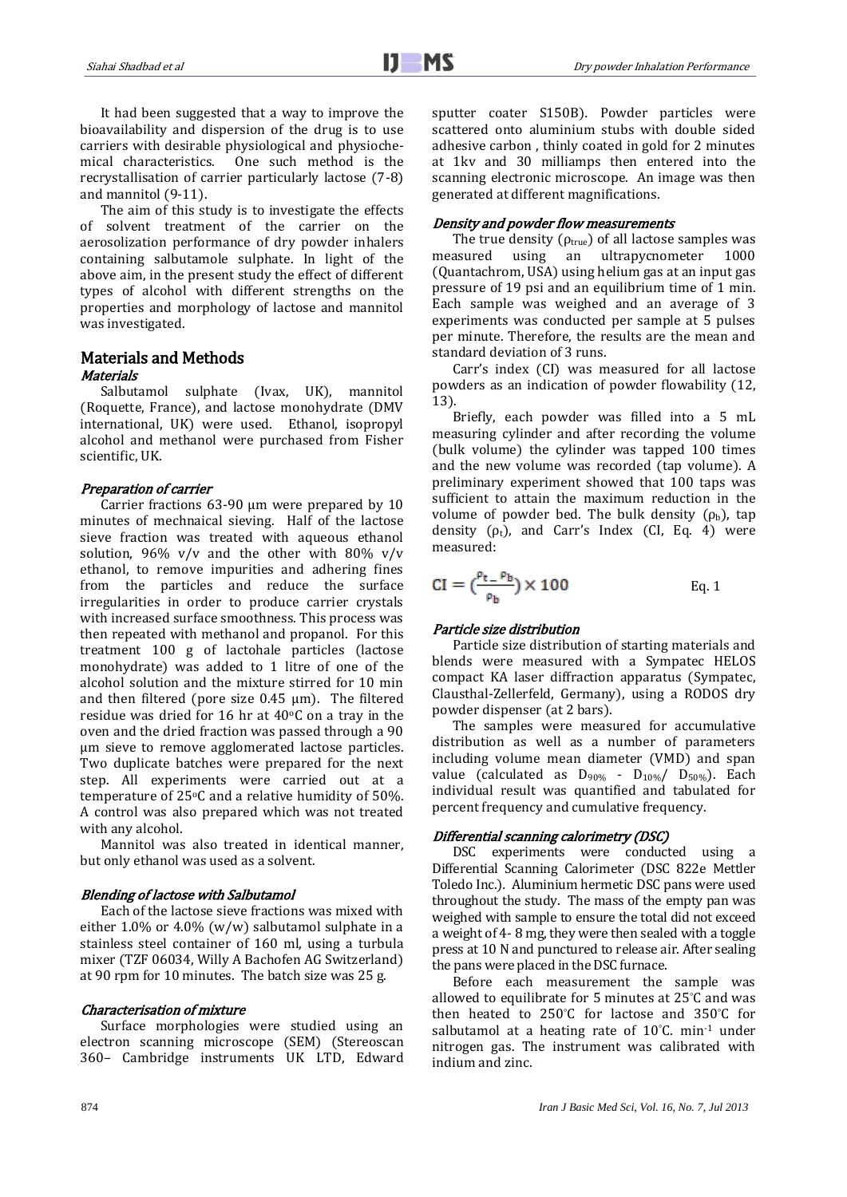It had been suggested that a way to improve the bioavailability and dispersion of the drug is to use carriers with desirable physiological and physiochemical characteristics. One such method is the recrystallisation of carrier particularly lactose (7-8) and mannitol (9-11).

The aim of this study is to investigate the effects of solvent treatment of the carrier on the aerosolization performance of dry powder inhalers containing salbutamole sulphate. In light of the above aim, in the present study the effect of different types of alcohol with different strengths on the properties and morphology of lactose and mannitol was investigated.

## Materials and Methods **Materials**

Salbutamol sulphate (Ivax, UK), mannitol (Roquette, France), and lactose monohydrate (DMV international, UK) were used. Ethanol, isopropyl alcohol and methanol were purchased from Fisher scientific, UK.

# Preparation of carrier

Carrier fractions 63-90 µm were prepared by 10 minutes of mechnaical sieving. Half of the lactose sieve fraction was treated with aqueous ethanol solution,  $96\%$  v/v and the other with  $80\%$  v/v ethanol, to remove impurities and adhering fines from the particles and reduce the surface irregularities in order to produce carrier crystals with increased surface smoothness. This process was then repeated with methanol and propanol. For this treatment 100 g of lactohale particles (lactose monohydrate) was added to 1 litre of one of the alcohol solution and the mixture stirred for 10 min and then filtered (pore size 0.45 µm). The filtered residue was dried for 16 hr at  $40^{\circ}$ C on a tray in the oven and the dried fraction was passed through a 90 µm sieve to remove agglomerated lactose particles. Two duplicate batches were prepared for the next step. All experiments were carried out at a temperature of 25°C and a relative humidity of 50%. A control was also prepared which was not treated with any alcohol.

Mannitol was also treated in identical manner, but only ethanol was used as a solvent.

# Blending of lactose with Salbutamol

Each of the lactose sieve fractions was mixed with either 1.0% or 4.0% (w/w) salbutamol sulphate in a stainless steel container of 160 ml, using a turbula mixer (TZF 06034, Willy A Bachofen AG Switzerland) at 90 rpm for 10 minutes. The batch size was 25 g.

# Characterisation of mixture

Surface morphologies were studied using an electron scanning microscope (SEM) (Stereoscan 360– Cambridge instruments UK LTD, Edward sputter coater S150B). Powder particles were scattered onto aluminium stubs with double sided adhesive carbon , thinly coated in gold for 2 minutes at 1kv and 30 milliamps then entered into the scanning electronic microscope. An image was then generated at different magnifications.

# Density and powder flow measurements

The true density ( $\rho_{true}$ ) of all lactose samples was measured using an ultrapycnometer 1000 (Quantachrom, USA) using helium gas at an input gas pressure of 19 psi and an equilibrium time of 1 min. Each sample was weighed and an average of 3 experiments was conducted per sample at 5 pulses per minute. Therefore, the results are the mean and standard deviation of 3 runs.

Carr's index (CI) was measured for all lactose powders as an indication of powder flowability (12, 13).

Briefly, each powder was filled into a 5 mL measuring cylinder and after recording the volume (bulk volume) the cylinder was tapped 100 times and the new volume was recorded (tap volume). A preliminary experiment showed that 100 taps was sufficient to attain the maximum reduction in the volume of powder bed. The bulk density  $(\rho_b)$ , tap density  $(\rho_t)$ , and Carr's Index (CI, Eq. 4) were measured:

$$
CI = \left(\frac{\rho_{t-} \rho_b}{\rho_b}\right) \times 100 \qquad \qquad Eq. 1
$$

# Particle size distribution

Particle size distribution of starting materials and blends were measured with a Sympatec HELOS compact KA laser diffraction apparatus (Sympatec, Clausthal-Zellerfeld, Germany), using a RODOS dry powder dispenser (at 2 bars).

The samples were measured for accumulative distribution as well as a number of parameters including volume mean diameter (VMD) and span value (calculated as  $D_{90\%}$  -  $D_{10\%}/$   $D_{50\%}$ ). Each individual result was quantified and tabulated for percent frequency and cumulative frequency.

# Differential scanning calorimetry (DSC)

DSC experiments were conducted using a Differential Scanning Calorimeter (DSC 822e Mettler Toledo Inc.). Aluminium hermetic DSC pans were used throughout the study. The mass of the empty pan was weighed with sample to ensure the total did not exceed a weight of 4- 8 mg, they were then sealed with a toggle press at 10 N and punctured to release air. After sealing the pans were placed in the DSC furnace.

Before each measurement the sample was allowed to equilibrate for 5 minutes at 25°C and was then heated to 250°C for lactose and 350°C for salbutamol at a heating rate of 10°C. min-1 under nitrogen gas. The instrument was calibrated with indium and zinc.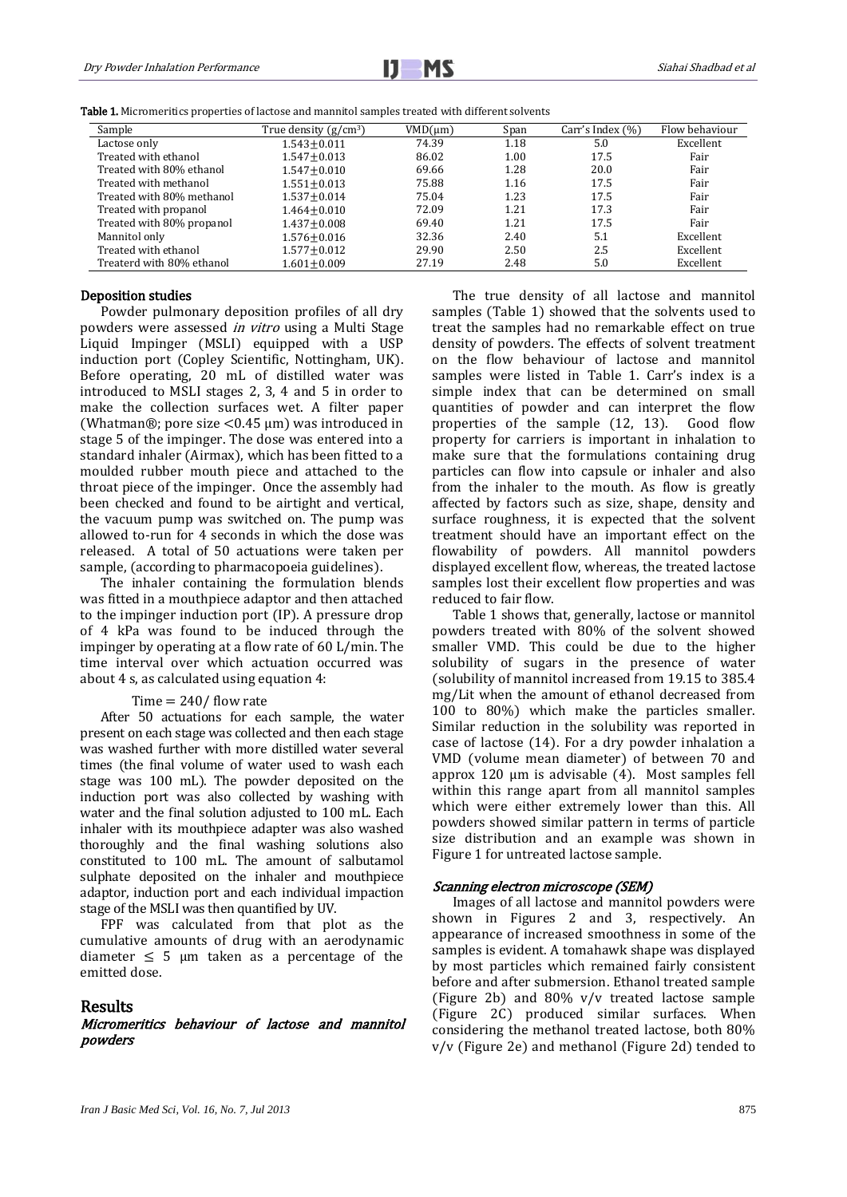

Table 1. Micromeritics properties of lactose and mannitol samples treated with different solvents

| Sample                    | True density $(g/cm^3)$ | VMD(num) | Span | Carr's Index (%) | Flow behaviour |
|---------------------------|-------------------------|----------|------|------------------|----------------|
| Lactose only              | $1.543 + 0.011$         | 74.39    | 1.18 | 5.0              | Excellent      |
| Treated with ethanol      | $1.547 + 0.013$         | 86.02    | 1.00 | 17.5             | Fair           |
| Treated with 80% ethanol  | $1.547 + 0.010$         | 69.66    | 1.28 | 20.0             | Fair           |
| Treated with methanol     | $1.551 \pm 0.013$       | 75.88    | 1.16 | 17.5             | Fair           |
| Treated with 80% methanol | $1.537 + 0.014$         | 75.04    | 1.23 | 17.5             | Fair           |
| Treated with propanol     | $1.464 + 0.010$         | 72.09    | 1.21 | 17.3             | Fair           |
| Treated with 80% propanol | $1.437 + 0.008$         | 69.40    | 1.21 | 17.5             | Fair           |
| Mannitol only             | $1.576 \pm 0.016$       | 32.36    | 2.40 | 5.1              | Excellent      |
| Treated with ethanol      | $1.577 + 0.012$         | 29.90    | 2.50 | 2.5              | Excellent      |
| Treaterd with 80% ethanol | $1.601 + 0.009$         | 27.19    | 2.48 | 5.0              | Excellent      |

### Deposition studies

Powder pulmonary deposition profiles of all dry powders were assessed *in vitro* using a Multi Stage Liquid Impinger (MSLI) equipped with a USP induction port (Copley Scientific, Nottingham, UK). Before operating, 20 mL of distilled water was introduced to MSLI stages 2, 3, 4 and 5 in order to make the collection surfaces wet. A filter paper (Whatman®; pore size  $<$ 0.45 µm) was introduced in stage 5 of the impinger. The dose was entered into a standard inhaler (Airmax), which has been fitted to a moulded rubber mouth piece and attached to the throat piece of the impinger. Once the assembly had been checked and found to be airtight and vertical, the vacuum pump was switched on. The pump was allowed to-run for 4 seconds in which the dose was released. A total of 50 actuations were taken per sample, (according to pharmacopoeia guidelines).

The inhaler containing the formulation blends was fitted in a mouthpiece adaptor and then attached to the impinger induction port (IP). A pressure drop of 4 kPa was found to be induced through the impinger by operating at a flow rate of 60 L/min. The time interval over which actuation occurred was about 4 s, as calculated using equation 4:

#### Time  $= 240/$  flow rate

After 50 actuations for each sample, the water present on each stage was collected and then each stage was washed further with more distilled water several times (the final volume of water used to wash each stage was 100 mL). The powder deposited on the induction port was also collected by washing with water and the final solution adjusted to 100 mL. Each inhaler with its mouthpiece adapter was also washed thoroughly and the final washing solutions also constituted to 100 mL. The amount of salbutamol sulphate deposited on the inhaler and mouthpiece adaptor, induction port and each individual impaction stage of the MSLI was then quantified by UV.

FPF was calculated from that plot as the cumulative amounts of drug with an aerodynamic diameter  $\leq$  5 µm taken as a percentage of the emitted dose.

## **Results**

## Micromeritics behaviour of lactose and mannitol powders

The true density of all lactose and mannitol samples (Table 1) showed that the solvents used to treat the samples had no remarkable effect on true density of powders. The effects of solvent treatment on the flow behaviour of lactose and mannitol samples were listed in Table 1. Carr's index is a simple index that can be determined on small quantities of powder and can interpret the flow properties of the sample (12, 13). Good flow property for carriers is important in inhalation to make sure that the formulations containing drug particles can flow into capsule or inhaler and also from the inhaler to the mouth. As flow is greatly affected by factors such as size, shape, density and surface roughness, it is expected that the solvent treatment should have an important effect on the flowability of powders. All mannitol powders displayed excellent flow, whereas, the treated lactose samples lost their excellent flow properties and was reduced to fair flow.

Table 1 shows that, generally, lactose or mannitol powders treated with 80% of the solvent showed smaller VMD. This could be due to the higher solubility of sugars in the presence of water (solubility of mannitol increased from 19.15 to 385.4 mg/Lit when the amount of ethanol decreased from 100 to 80%) which make the particles smaller. Similar reduction in the solubility was reported in case of lactose (14). For a dry powder inhalation a VMD (volume mean diameter) of between 70 and approx 120 µm is advisable (4). Most samples fell within this range apart from all mannitol samples which were either extremely lower than this. All powders showed similar pattern in terms of particle size distribution and an example was shown in Figure 1 for untreated lactose sample.

## Scanning electron microscope (SEM)

Images of all lactose and mannitol powders were shown in Figures 2 and 3, respectively. An appearance of increased smoothness in some of the samples is evident. A tomahawk shape was displayed by most particles which remained fairly consistent before and after submersion. Ethanol treated sample (Figure 2b) and 80% v/v treated lactose sample (Figure 2C) produced similar surfaces. When considering the methanol treated lactose, both 80% v/v (Figure 2e) and methanol (Figure 2d) tended to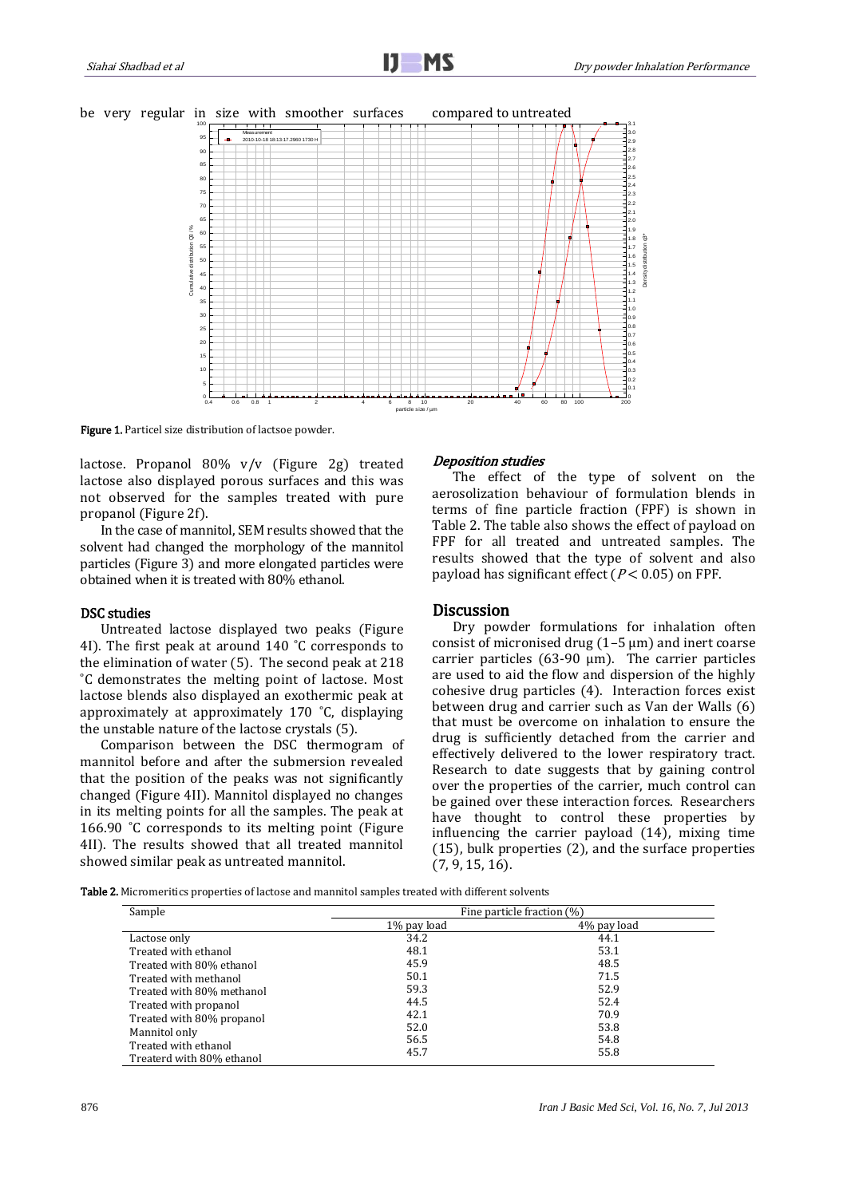



Figure 1. Particel size distribution of lactsoe powder.

lactose. Propanol 80% v/v (Figure 2g) treated lactose also displayed porous surfaces and this was not observed for the samples treated with pure propanol (Figure 2f).

In the case of mannitol, SEM results showed that the solvent had changed the morphology of the mannitol particles (Figure 3) and more elongated particles were obtained when it is treated with 80% ethanol.

## DSC studies

Untreated lactose displayed two peaks (Figure 4I). The first peak at around 140 ˚C corresponds to the elimination of water (5). The second peak at 218 ˚C demonstrates the melting point of lactose. Most lactose blends also displayed an exothermic peak at approximately at approximately 170 ˚C, displaying the unstable nature of the lactose crystals (5).

Comparison between the DSC thermogram of mannitol before and after the submersion revealed that the position of the peaks was not significantly changed (Figure 4II). Mannitol displayed no changes in its melting points for all the samples. The peak at 166.90 ˚C corresponds to its melting point (Figure 4II). The results showed that all treated mannitol showed similar peak as untreated mannitol.

### Deposition studies

The effect of the type of solvent on the aerosolization behaviour of formulation blends in terms of fine particle fraction (FPF) is shown in Table 2. The table also shows the effect of payload on FPF for all treated and untreated samples. The results showed that the type of solvent and also payload has significant effect ( $P < 0.05$ ) on FPF.

## **Discussion**

Dry powder formulations for inhalation often consist of micronised drug  $(1-5 \mu m)$  and inert coarse carrier particles (63-90  $\mu$ m). The carrier particles are used to aid the flow and dispersion of the highly cohesive drug particles (4). Interaction forces exist between drug and carrier such as Van der Walls (6) that must be overcome on inhalation to ensure the drug is sufficiently detached from the carrier and effectively delivered to the lower respiratory tract. Research to date suggests that by gaining control over the properties of the carrier, much control can be gained over these interaction forces. Researchers have thought to control these properties by influencing the carrier payload (14), mixing time (15), bulk properties (2), and the surface properties (7, 9, 15, 16).

Table 2. Micromeritics properties of lactose and mannitol samples treated with different solvents

| Sample                    | Fine particle fraction (%) |              |  |  |
|---------------------------|----------------------------|--------------|--|--|
|                           | 1% pay load                | 4\% pay load |  |  |
| Lactose only              | 34.2                       | 44.1         |  |  |
| Treated with ethanol      | 48.1                       | 53.1         |  |  |
| Treated with 80% ethanol  | 45.9                       | 48.5         |  |  |
| Treated with methanol     | 50.1                       | 71.5         |  |  |
| Treated with 80% methanol | 59.3                       | 52.9         |  |  |
| Treated with propanol     | 44.5                       | 52.4         |  |  |
| Treated with 80% propanol | 42.1                       | 70.9         |  |  |
| Mannitol only             | 52.0                       | 53.8         |  |  |
| Treated with ethanol      | 56.5                       | 54.8         |  |  |
| Treaterd with 80% ethanol | 45.7                       | 55.8         |  |  |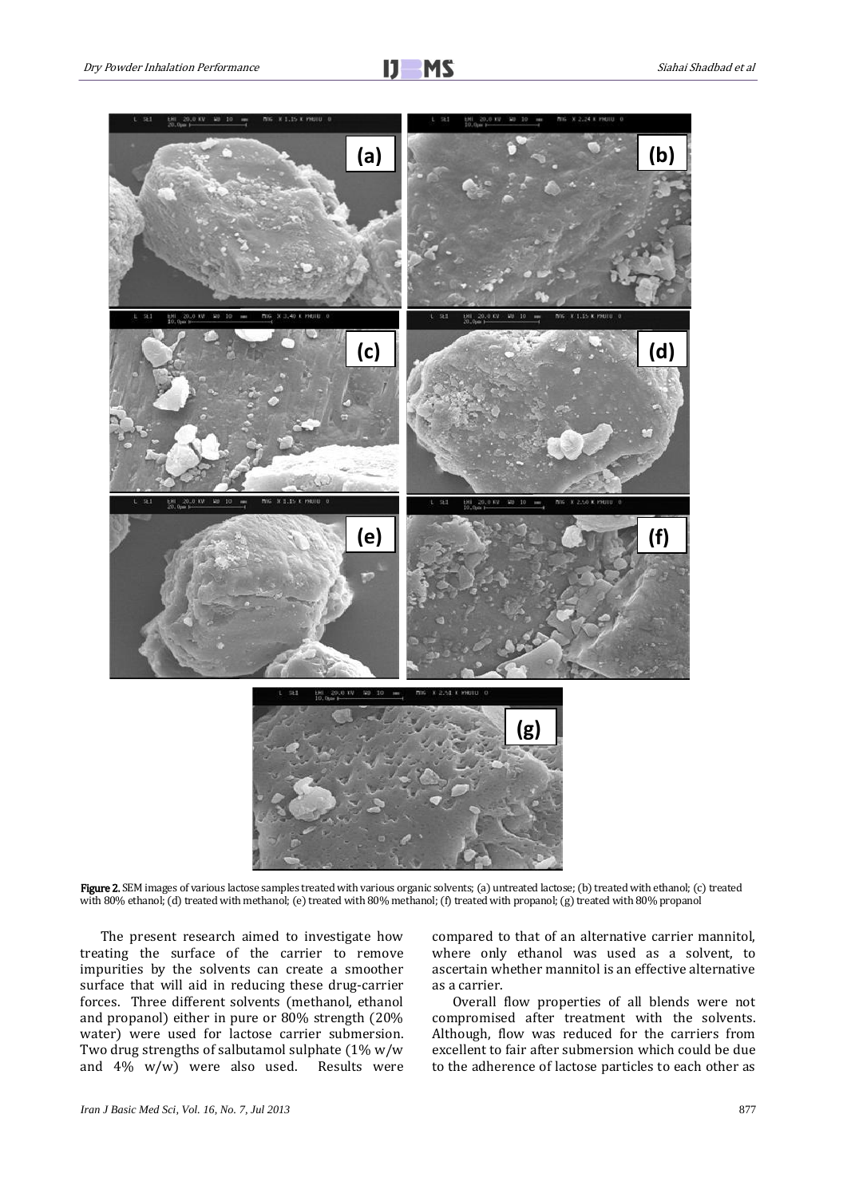

Figure 2. SEM images of various lactose samples treated with various organic solvents; (a) untreated lactose; (b) treated with ethanol; (c) treated with 80% ethanol; (d) treated with methanol; (e) treated with 80% methanol; (f) treated with propanol; (g) treated with 80% propanol

The present research aimed to investigate how treating the surface of the carrier to remove impurities by the solvents can create a smoother surface that will aid in reducing these drug-carrier forces. Three different solvents (methanol, ethanol and propanol) either in pure or 80% strength (20% water) were used for lactose carrier submersion. Two drug strengths of salbutamol sulphate (1% w/w and 4% w/w) were also used. Results were compared to that of an alternative carrier mannitol, where only ethanol was used as a solvent, to ascertain whether mannitol is an effective alternative as a carrier.

Overall flow properties of all blends were not compromised after treatment with the solvents. Although, flow was reduced for the carriers from excellent to fair after submersion which could be due to the adherence of lactose particles to each other as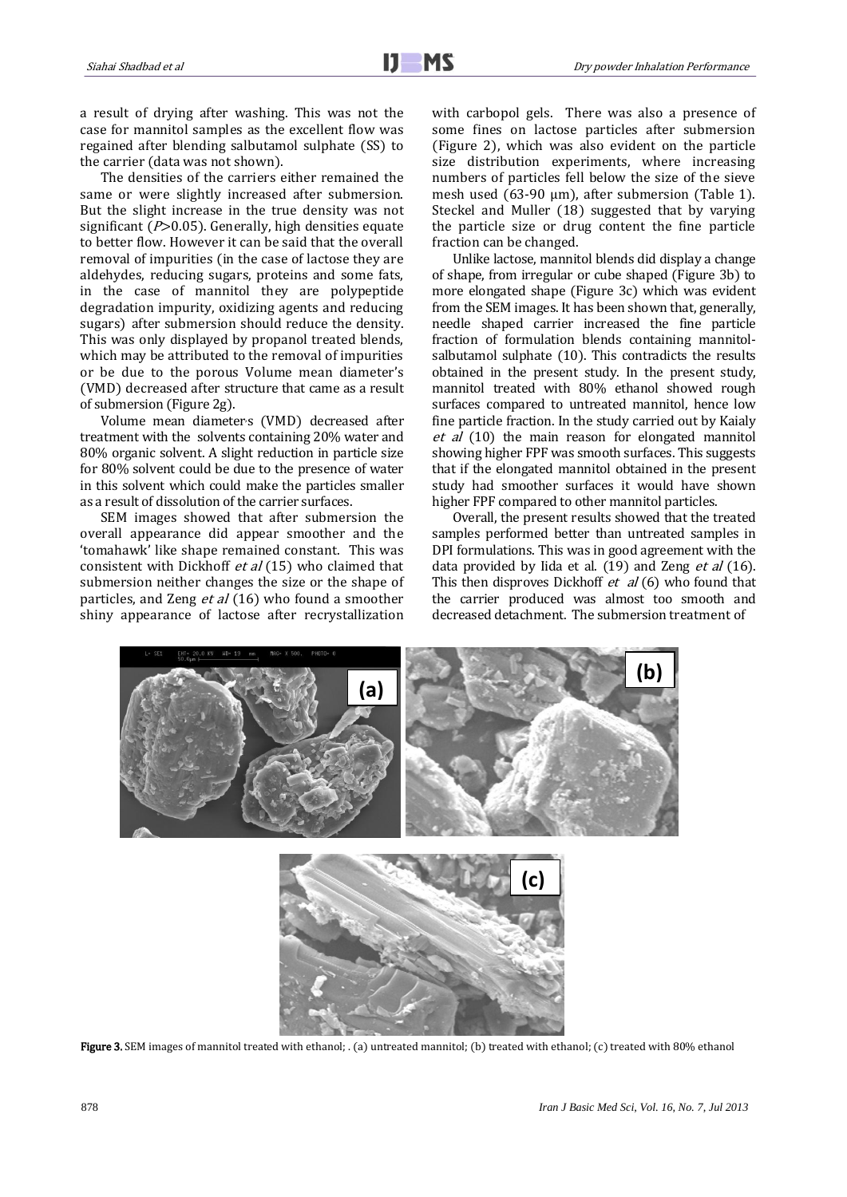a result of drying after washing. This was not the case for mannitol samples as the excellent flow was regained after blending salbutamol sulphate (SS) to the carrier (data was not shown).

The densities of the carriers either remained the same or were slightly increased after submersion. But the slight increase in the true density was not significant ( $P > 0.05$ ). Generally, high densities equate to better flow. However it can be said that the overall removal of impurities (in the case of lactose they are aldehydes, reducing sugars, proteins and some fats, in the case of mannitol they are polypeptide degradation impurity, oxidizing agents and reducing sugars) after submersion should reduce the density. This was only displayed by propanol treated blends, which may be attributed to the removal of impurities or be due to the porous Volume mean diameter's (VMD) decreased after structure that came as a result of submersion (Figure 2g).

Volume mean diameters (VMD) decreased after treatment with the solvents containing 20% water and 80% organic solvent. A slight reduction in particle size for 80% solvent could be due to the presence of water in this solvent which could make the particles smaller as a result of dissolution of the carrier surfaces.

SEM images showed that after submersion the overall appearance did appear smoother and the 'tomahawk' like shape remained constant. This was consistent with Dickhoff et al (15) who claimed that submersion neither changes the size or the shape of particles, and Zeng et al (16) who found a smoother shiny appearance of lactose after recrystallization with carbopol gels. There was also a presence of some fines on lactose particles after submersion (Figure 2), which was also evident on the particle size distribution experiments, where increasing numbers of particles fell below the size of the sieve mesh used (63-90 μm), after submersion (Table 1). Steckel and Muller (18) suggested that by varying the particle size or drug content the fine particle fraction can be changed.

Unlike lactose, mannitol blends did display a change of shape, from irregular or cube shaped (Figure 3b) to more elongated shape (Figure 3c) which was evident from the SEM images. It has been shown that, generally, needle shaped carrier increased the fine particle fraction of formulation blends containing mannitolsalbutamol sulphate (10). This contradicts the results obtained in the present study. In the present study, mannitol treated with 80% ethanol showed rough surfaces compared to untreated mannitol, hence low fine particle fraction. In the study carried out by Kaialy et al (10) the main reason for elongated mannitol showing higher FPF was smooth surfaces. This suggests that if the elongated mannitol obtained in the present study had smoother surfaces it would have shown higher FPF compared to other mannitol particles.

Overall, the present results showed that the treated samples performed better than untreated samples in DPI formulations. This was in good agreement with the data provided by Iida et al.  $(19)$  and Zeng et al  $(16)$ . This then disproves Dickhoff  $et \, al$  (6) who found that the carrier produced was almost too smooth and decreased detachment. The submersion treatment of



Figure 3. SEM images of mannitol treated with ethanol; . (a) untreated mannitol; (b) treated with ethanol; (c) treated with 80% ethanol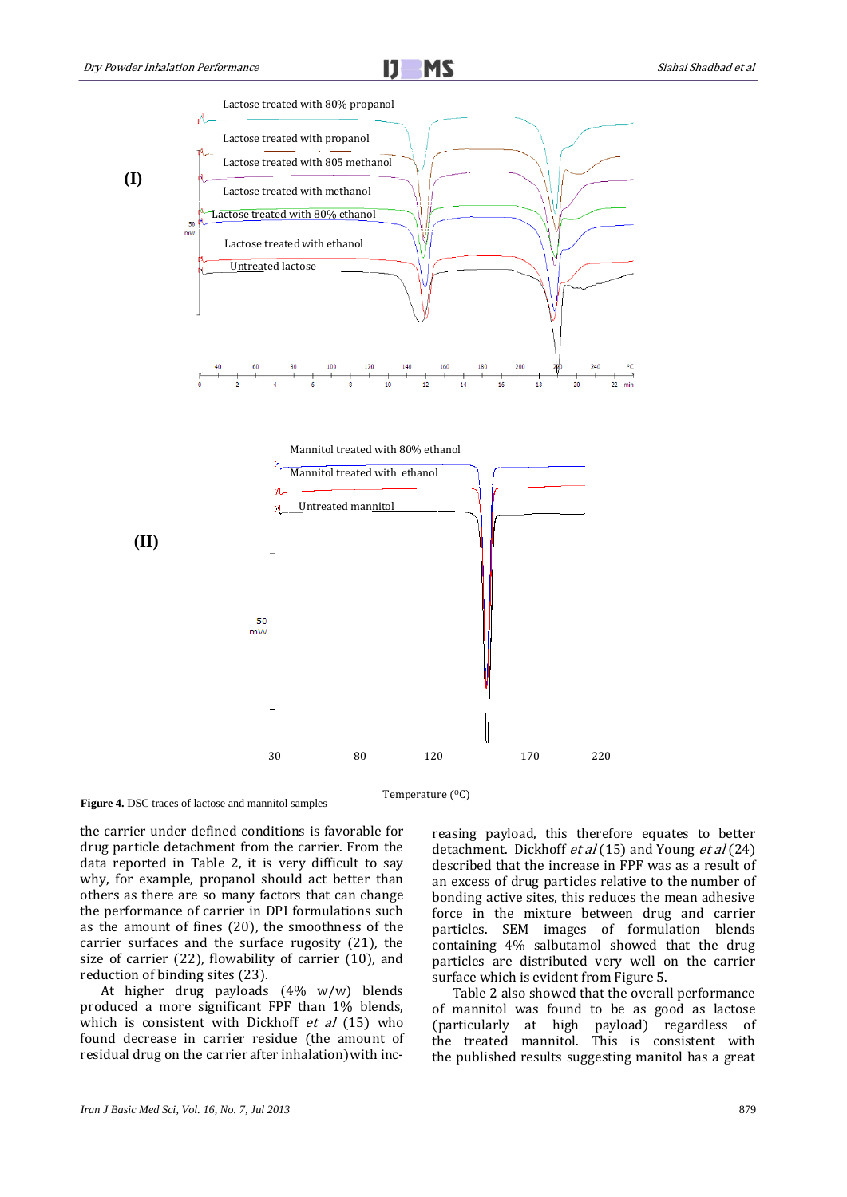

30 80 120 170 220

**Figure 4.** DSC traces of lactose and mannitol samples

Temperature (<sup>O</sup>C)

the carrier under defined conditions is favorable for drug particle detachment from the carrier. From the data reported in Table 2, it is very difficult to say why, for example, propanol should act better than others as there are so many factors that can change the performance of carrier in DPI formulations such as the amount of fines (20), the smoothness of the carrier surfaces and the surface rugosity (21), the size of carrier (22), flowability of carrier (10), and reduction of binding sites (23).

At higher drug payloads (4% w/w) blends produced a more significant FPF than 1% blends, which is consistent with Dickhoff  $et$  al (15) who found decrease in carrier residue (the amount of residual drug on the carrier after inhalation)with increasing payload, this therefore equates to better detachment. Dickhoff *et al* (15) and Young *et al* (24) described that the increase in FPF was as a result of an excess of drug particles relative to the number of bonding active sites, this reduces the mean adhesive force in the mixture between drug and carrier particles. SEM images of formulation blends containing 4% salbutamol showed that the drug particles are distributed very well on the carrier surface which is evident from Figure 5.

Table 2 also showed that the overall performance of mannitol was found to be as good as lactose (particularly at high payload) regardless of the treated mannitol. This is consistent with the published results suggesting manitol has a great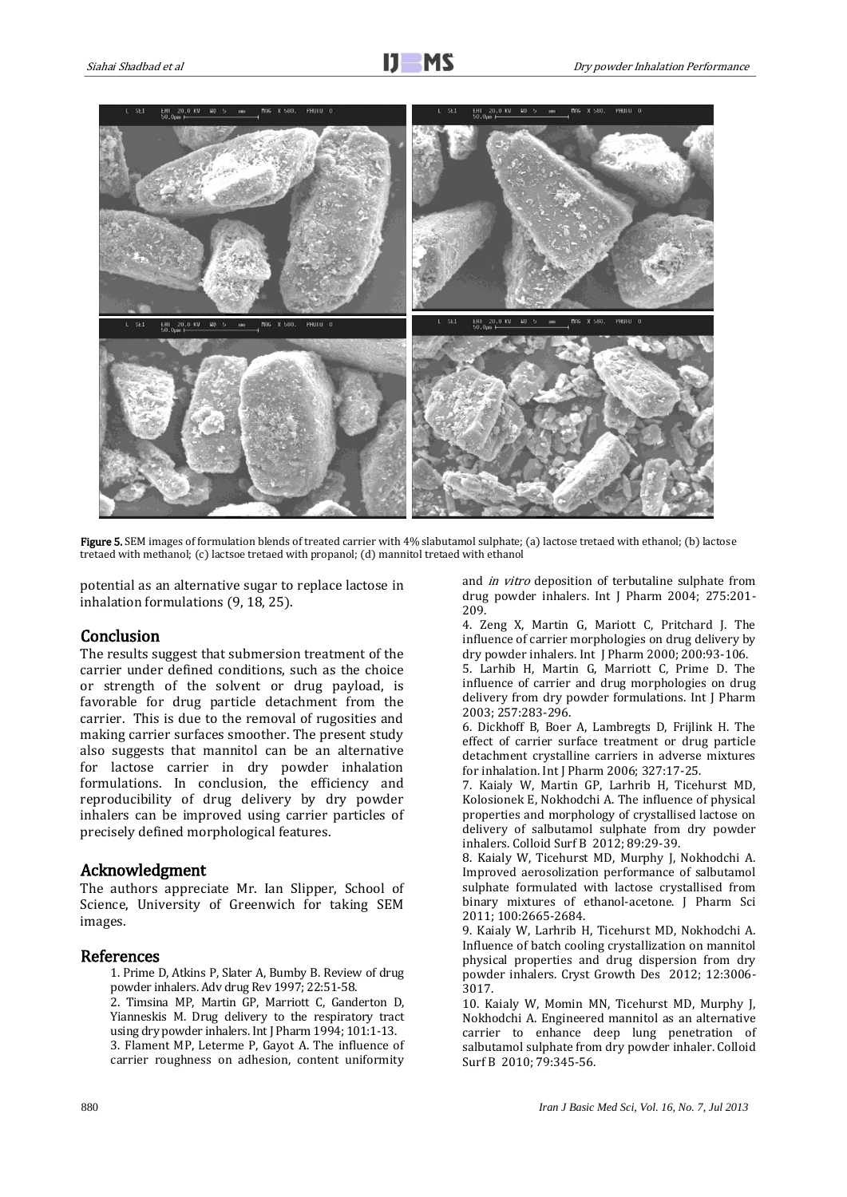

Figure 5. SEM images of formulation blends of treated carrier with 4% slabutamol sulphate; (a) lactose tretaed with ethanol; (b) lactose tretaed with methanol; (c) lactsoe tretaed with propanol; (d) mannitol tretaed with ethanol

potential as an alternative sugar to replace lactose in inhalation formulations (9, 18, 25).

# Conclusion

The results suggest that submersion treatment of the carrier under defined conditions, such as the choice or strength of the solvent or drug payload, is favorable for drug particle detachment from the carrier. This is due to the removal of rugosities and making carrier surfaces smoother. The present study also suggests that mannitol can be an alternative for lactose carrier in dry powder inhalation formulations. In conclusion, the efficiency and reproducibility of drug delivery by dry powder inhalers can be improved using carrier particles of precisely defined morphological features.

# Acknowledgment

The authors appreciate Mr. Ian Slipper, School of Science, University of Greenwich for taking SEM images.

## References

- 1. Prime D, Atkins P, Slater A, Bumby B. Review of drug powder inhalers. Adv drug Rev 1997; 22:51-58.
- 2. Timsina MP, Martin GP, Marriott C, Ganderton D, Yianneskis M. Drug delivery to the respiratory tract using dry powder inhalers. Int J Pharm 1994; 101:1-13. 3. Flament MP, Leterme P, Gayot A. The influence of carrier roughness on adhesion, content uniformity

and in vitro deposition of terbutaline sulphate from drug powder inhalers. Int J Pharm 2004; 275:201- 209.

4. Zeng X, Martin G, Mariott C, Pritchard J. The influence of carrier morphologies on drug delivery by dry powder inhalers. Int J Pharm 2000; 200:93-106.

5. Larhib H, Martin G, Marriott C, Prime D. The influence of carrier and drug morphologies on drug delivery from dry powder formulations. Int J Pharm 2003; 257:283-296.

6. Dickhoff B, Boer A, Lambregts D, Frijlink H. The effect of carrier surface treatment or drug particle detachment crystalline carriers in adverse mixtures for inhalation. Int J Pharm 2006; 327:17-25.

7. Kaialy W, Martin GP, Larhrib H, Ticehurst MD, Kolosionek E, Nokhodchi A. The influence of physical properties and morphology of crystallised lactose on delivery of salbutamol sulphate from dry powder inhalers. Colloid Surf B 2012; 89:29-39.

8. Kaialy W, Ticehurst MD, Murphy J, Nokhodchi A. Improved aerosolization performance of salbutamol sulphate formulated with lactose crystallised from binary mixtures of ethanol-acetone. J Pharm Sci 2011; 100:2665-2684.

9. Kaialy W, Larhrib H, Ticehurst MD, Nokhodchi A. Influence of batch cooling crystallization on mannitol physical properties and drug dispersion from dry powder inhalers. Cryst Growth Des 2012; 12:3006- 3017.

10. Kaialy W, Momin MN, Ticehurst MD, Murphy J, Nokhodchi A. Engineered mannitol as an alternative carrier to enhance deep lung penetration of salbutamol sulphate from dry powder inhaler. Colloid Surf B 2010; 79:345-56.